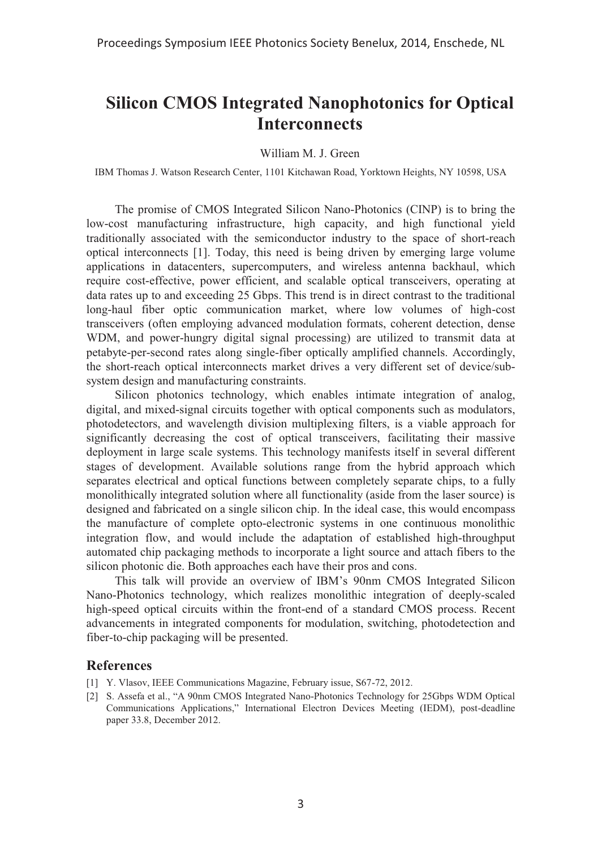## **Silicon CMOS Integrated Nanophotonics for Optical Interconnects**

## William M. J. Green

IBM Thomas J. Watson Research Center, 1101 Kitchawan Road, Yorktown Heights, NY 10598, USA

The promise of CMOS Integrated Silicon Nano-Photonics (CINP) is to bring the low-cost manufacturing infrastructure, high capacity, and high functional yield traditionally associated with the semiconductor industry to the space of short-reach optical interconnects [1]. Today, this need is being driven by emerging large volume applications in datacenters, supercomputers, and wireless antenna backhaul, which require cost-effective, power efficient, and scalable optical transceivers, operating at data rates up to and exceeding 25 Gbps. This trend is in direct contrast to the traditional long-haul fiber optic communication market, where low volumes of high-cost transceivers (often employing advanced modulation formats, coherent detection, dense WDM, and power-hungry digital signal processing) are utilized to transmit data at petabyte-per-second rates along single-fiber optically amplified channels. Accordingly, the short-reach optical interconnects market drives a very different set of device/subsystem design and manufacturing constraints.

Silicon photonics technology, which enables intimate integration of analog, digital, and mixed-signal circuits together with optical components such as modulators, photodetectors, and wavelength division multiplexing filters, is a viable approach for significantly decreasing the cost of optical transceivers, facilitating their massive deployment in large scale systems. This technology manifests itself in several different stages of development. Available solutions range from the hybrid approach which separates electrical and optical functions between completely separate chips, to a fully monolithically integrated solution where all functionality (aside from the laser source) is designed and fabricated on a single silicon chip. In the ideal case, this would encompass the manufacture of complete opto-electronic systems in one continuous monolithic integration flow, and would include the adaptation of established high-throughput automated chip packaging methods to incorporate a light source and attach fibers to the silicon photonic die. Both approaches each have their pros and cons.

This talk will provide an overview of IBM's 90nm CMOS Integrated Silicon Nano-Photonics technology, which realizes monolithic integration of deeply-scaled high-speed optical circuits within the front-end of a standard CMOS process. Recent advancements in integrated components for modulation, switching, photodetection and fiber-to-chip packaging will be presented.

## **References**

- [1] Y. Vlasov, IEEE Communications Magazine, February issue, S67-72, 2012.
- [2] S. Assefa et al., "A 90nm CMOS Integrated Nano-Photonics Technology for 25Gbps WDM Optical Communications Applications," International Electron Devices Meeting (IEDM), post-deadline paper 33.8, December 2012.